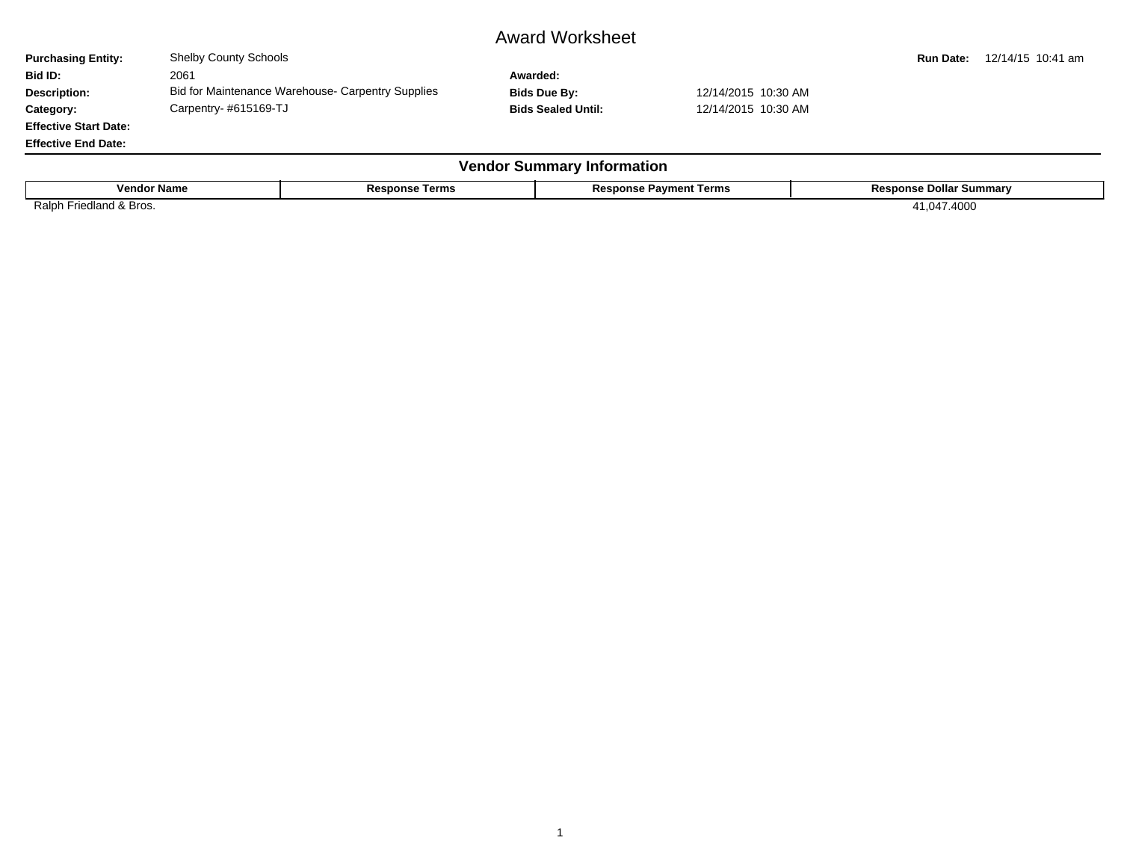## Award Worksheet

**Purchasing Entity:** Shelby County Schools **Run Date:** 12/14/15 10:41 am **Bid ID:** 2061 **Awarded: Description:** Bid for Maintenance Warehouse- Carpentry Supplies **Bids Due By:** 12/14/2015 10:30 AM Category: Carpentry- #615169-TJ **Carpentry- #615169-TJ** Bids Sealed Until: 12/14/2015 10:30 AM

**Effective Start Date: Effective End Date:**

| <b>Vendor</b><br>' Summarv Information |                       |                               |                                |  |  |  |  |  |  |  |
|----------------------------------------|-----------------------|-------------------------------|--------------------------------|--|--|--|--|--|--|--|
| <b>Vendor Name</b>                     | <b>Response Terms</b> | <b>Response Payment Terms</b> | <b>Response Dollar Summary</b> |  |  |  |  |  |  |  |
| Friedland & Bros.<br>Ralph             |                       |                               | 1,047.4000                     |  |  |  |  |  |  |  |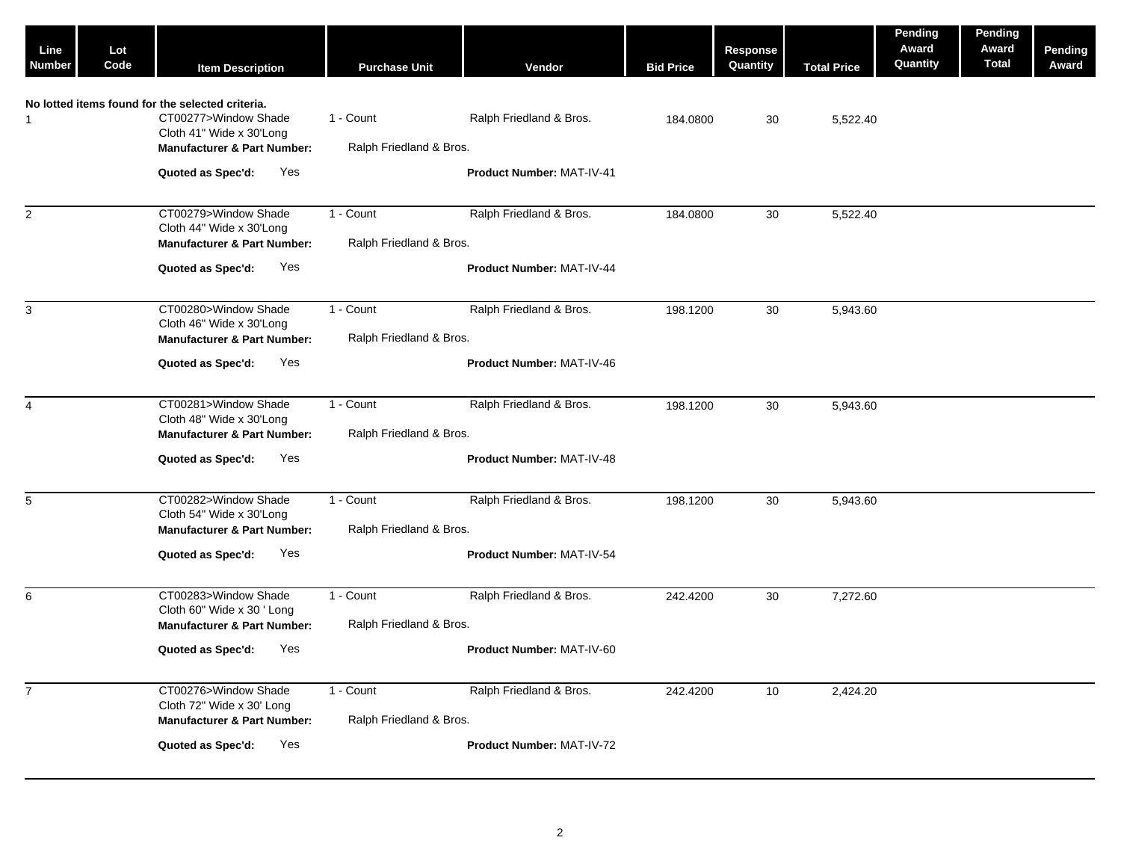| Line<br><b>Number</b> | Lot<br>Code | <b>Item Description</b>                                                                                                                        | <b>Purchase Unit</b>                 | Vendor                           | <b>Bid Price</b> | Response<br>Quantity | <b>Total Price</b> | Pending<br>Award<br>Quantity | Pending<br>Award<br><b>Total</b> | Pending<br>Award |
|-----------------------|-------------|------------------------------------------------------------------------------------------------------------------------------------------------|--------------------------------------|----------------------------------|------------------|----------------------|--------------------|------------------------------|----------------------------------|------------------|
| $\mathbf{1}$          |             | No lotted items found for the selected criteria.<br>CT00277>Window Shade<br>Cloth 41" Wide x 30'Long<br><b>Manufacturer &amp; Part Number:</b> | 1 - Count<br>Ralph Friedland & Bros. | Ralph Friedland & Bros.          | 184.0800         | 30                   | 5,522.40           |                              |                                  |                  |
|                       |             | Yes<br>Quoted as Spec'd:                                                                                                                       |                                      | <b>Product Number: MAT-IV-41</b> |                  |                      |                    |                              |                                  |                  |
| 2                     |             | CT00279>Window Shade<br>Cloth 44" Wide x 30'Long<br><b>Manufacturer &amp; Part Number:</b>                                                     | 1 - Count<br>Ralph Friedland & Bros. | Ralph Friedland & Bros.          | 184.0800         | 30                   | 5,522.40           |                              |                                  |                  |
|                       |             | Yes<br>Quoted as Spec'd:                                                                                                                       |                                      | Product Number: MAT-IV-44        |                  |                      |                    |                              |                                  |                  |
| 3                     |             | CT00280>Window Shade<br>Cloth 46" Wide x 30'Long<br><b>Manufacturer &amp; Part Number:</b>                                                     | 1 - Count<br>Ralph Friedland & Bros. | Ralph Friedland & Bros.          | 198.1200         | 30                   | 5,943.60           |                              |                                  |                  |
|                       |             | Quoted as Spec'd:<br>Yes                                                                                                                       |                                      | <b>Product Number: MAT-IV-46</b> |                  |                      |                    |                              |                                  |                  |
| 4                     |             | CT00281>Window Shade<br>Cloth 48" Wide x 30'Long<br><b>Manufacturer &amp; Part Number:</b>                                                     | 1 - Count<br>Ralph Friedland & Bros. | Ralph Friedland & Bros.          | 198.1200         | 30                   | 5,943.60           |                              |                                  |                  |
|                       |             | Yes<br>Quoted as Spec'd:                                                                                                                       |                                      | Product Number: MAT-IV-48        |                  |                      |                    |                              |                                  |                  |
| $5\phantom{.0}$       |             | CT00282>Window Shade<br>Cloth 54" Wide x 30'Long<br><b>Manufacturer &amp; Part Number:</b>                                                     | 1 - Count<br>Ralph Friedland & Bros. | Ralph Friedland & Bros.          | 198.1200         | 30                   | 5,943.60           |                              |                                  |                  |
|                       |             | Yes<br>Quoted as Spec'd:                                                                                                                       |                                      | Product Number: MAT-IV-54        |                  |                      |                    |                              |                                  |                  |
| 6                     |             | CT00283>Window Shade<br>Cloth 60" Wide x 30 ' Long<br><b>Manufacturer &amp; Part Number:</b>                                                   | 1 - Count<br>Ralph Friedland & Bros. | Ralph Friedland & Bros.          | 242.4200         | 30                   | 7,272.60           |                              |                                  |                  |
|                       |             | Quoted as Spec'd:<br>Yes                                                                                                                       |                                      | Product Number: MAT-IV-60        |                  |                      |                    |                              |                                  |                  |
| $\overline{7}$        |             | CT00276>Window Shade<br>Cloth 72" Wide x 30' Long<br><b>Manufacturer &amp; Part Number:</b>                                                    | 1 - Count<br>Ralph Friedland & Bros. | Ralph Friedland & Bros.          | 242.4200         | 10                   | 2,424.20           |                              |                                  |                  |
|                       |             | Quoted as Spec'd:<br>Yes                                                                                                                       |                                      | Product Number: MAT-IV-72        |                  |                      |                    |                              |                                  |                  |